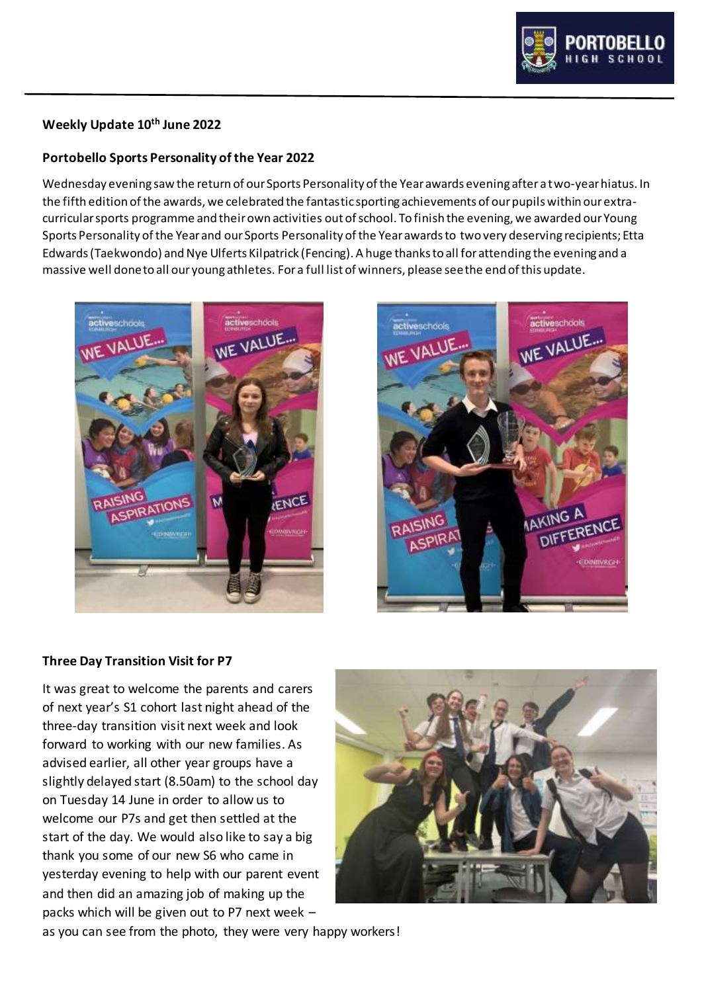

#### **Weekly Update 10th June 2022**

#### **Portobello Sports Personality of the Year 2022**

Wednesday evening saw the return of our Sports Personality of the Year awards evening after a two-year hiatus. In the fifth edition of the awards, we celebrated the fantastic sporting achievements of our pupils within our extracurricular sports programme and their own activities out of school. To finish the evening, we awarded our Young Sports Personality of the Year and our Sports Personality of the Year awards to two very deserving recipients; Etta Edwards (Taekwondo) and Nye Ulferts Kilpatrick (Fencing). A huge thanks to all for attending the evening and a massive well done to all our young athletes. For a full list of winners, please see the end of this update.





#### **Three Day Transition Visit for P7**

It was great to welcome the parents and carers of next year's S1 cohort last night ahead of the three-day transition visit next week and look forward to working with our new families. As advised earlier, all other year groups have a slightly delayed start (8.50am) to the school day on Tuesday 14 June in order to allow us to welcome our P7s and get then settled at the start of the day. We would also like to say a big thank you some of our new S6 who came in yesterday evening to help with our parent event and then did an amazing job of making up the packs which will be given out to P7 next week –



as you can see from the photo, they were very happy workers!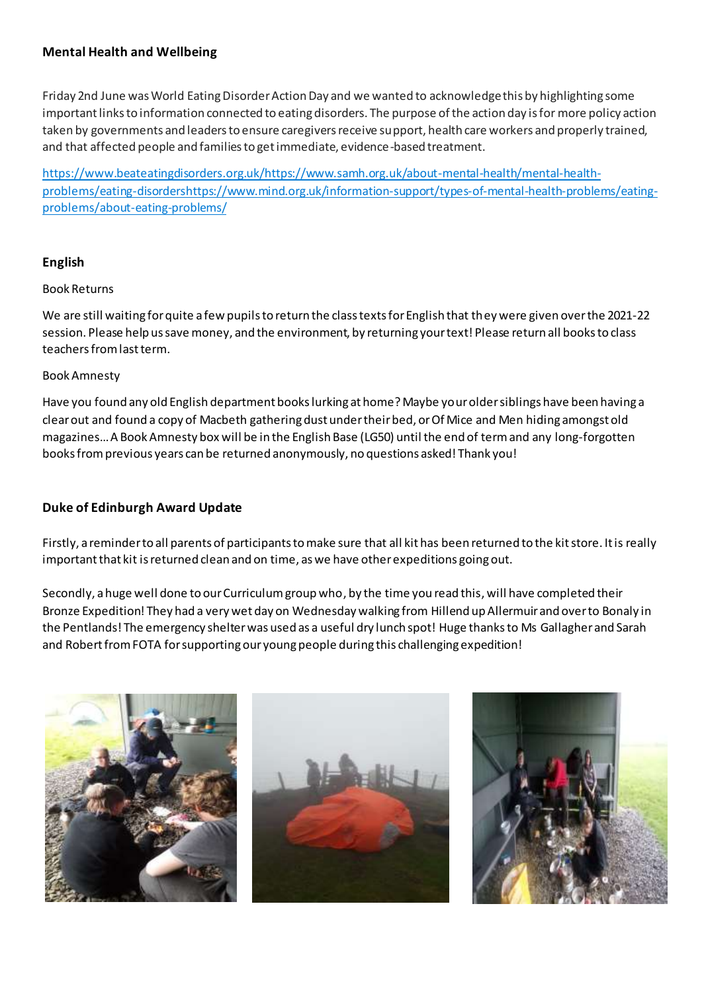#### **Mental Health and Wellbeing**

Friday 2nd June was World Eating Disorder Action Day and we wanted to acknowledge this by highlighting some important links to information connected to eating disorders. The purpose of the action day is for more policy action taken by governments and leaders to ensure caregivers receive support, health care workers and properly trained, and that affected people and families to get immediate, evidence-based treatment.

[https://www.beateatingdisorders.org.uk](https://www.beateatingdisorders.org.uk/)[/https://www.samh.org.uk/about-mental-health/mental-health](https://www.samh.org.uk/about-mental-health/mental-health-problems/eating-disorders)[problems/eating-disorders](https://www.samh.org.uk/about-mental-health/mental-health-problems/eating-disorders)[https://www.mind.org.uk/information-support/types-of-mental-health-problems/eating](https://www.mind.org.uk/information-support/types-of-mental-health-problems/eating-problems/about-eating-problems/)[problems/about-eating-problems/](https://www.mind.org.uk/information-support/types-of-mental-health-problems/eating-problems/about-eating-problems/)

#### **English**

#### Book Returns

We are still waiting for quite a few pupils to return the class texts for English that they were given over the 2021-22 session. Please help us save money, and the environment, by returning your text! Please return all books to class teachers from last term.

#### Book Amnesty

Have you found any old English department books lurking at home? Maybe your older siblings have been having a clear out and found a copy of Macbeth gathering dust under their bed, or Of Mice and Men hiding amongst old magazines… A Book Amnesty box will be in the English Base (LG50) until the end of term and any long-forgotten books from previous years can be returned anonymously, no questions asked! Thank you!

#### **Duke of Edinburgh Award Update**

Firstly, a reminder to all parents of participants to make sure that all kit has been returned to the kit store. It is really important that kit is returned clean and on time, as we have other expeditions going out.

Secondly, a huge well done to our Curriculum group who, by the time you read this, will have completed their Bronze Expedition! They had a very wet day on Wednesday walking from Hillend up Allermuir and over to Bonaly in the Pentlands! The emergency shelter was used as a useful dry lunch spot! Huge thanks to Ms Gallagher and Sarah and Robert from FOTA for supporting our young people during this challenging expedition!





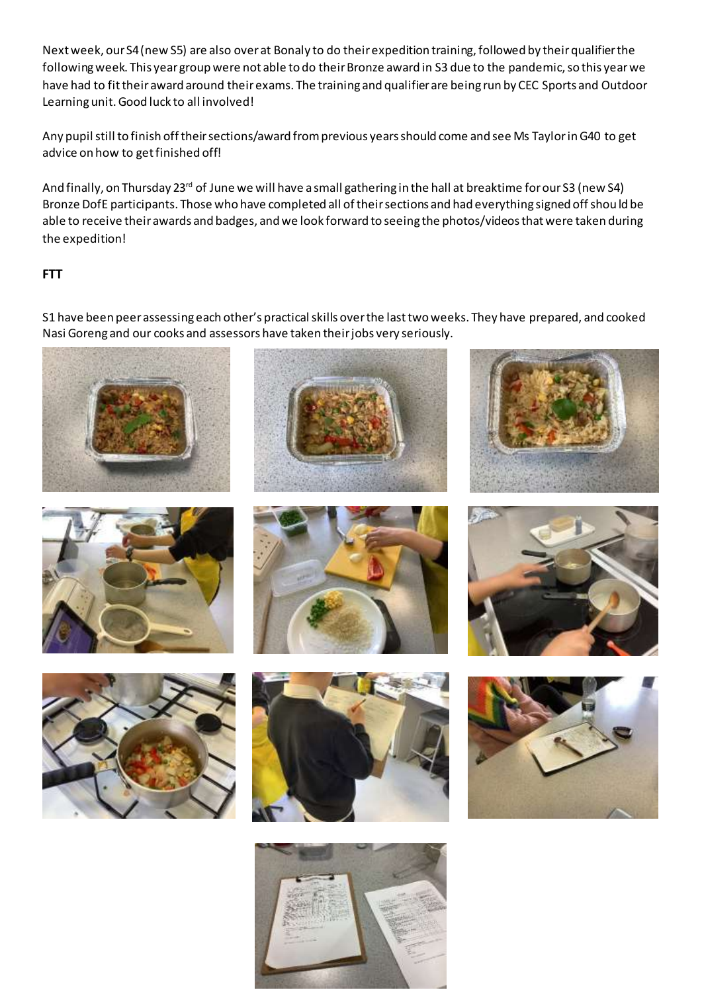Next week, our S4 (new S5) are also over at Bonaly to do their expedition training, followed by their qualifier the following week. This year group were not able to do their Bronze award in S3 due to the pandemic, so this year we have had to fit their award around their exams. The training and qualifier are being run by CEC Sports and Outdoor Learning unit. Good luck to all involved!

Any pupil still to finish off their sections/award from previous years should come and see Ms Taylor in G40 to get advice on how to get finished off!

And finally, on Thursday 23<sup>rd</sup> of June we will have a small gathering in the hall at breaktime for our S3 (new S4) Bronze DofE participants. Those who have completed all of their sections and had everything signed off shou ld be able to receive their awards and badges, and we look forward to seeing the photos/videos that were taken during the expedition!

#### **FTT**

S1 have been peer assessing each other's practical skills over the last two weeks. They have prepared, and cooked Nasi Goreng and our cooks and assessors have taken their jobs very seriously.



















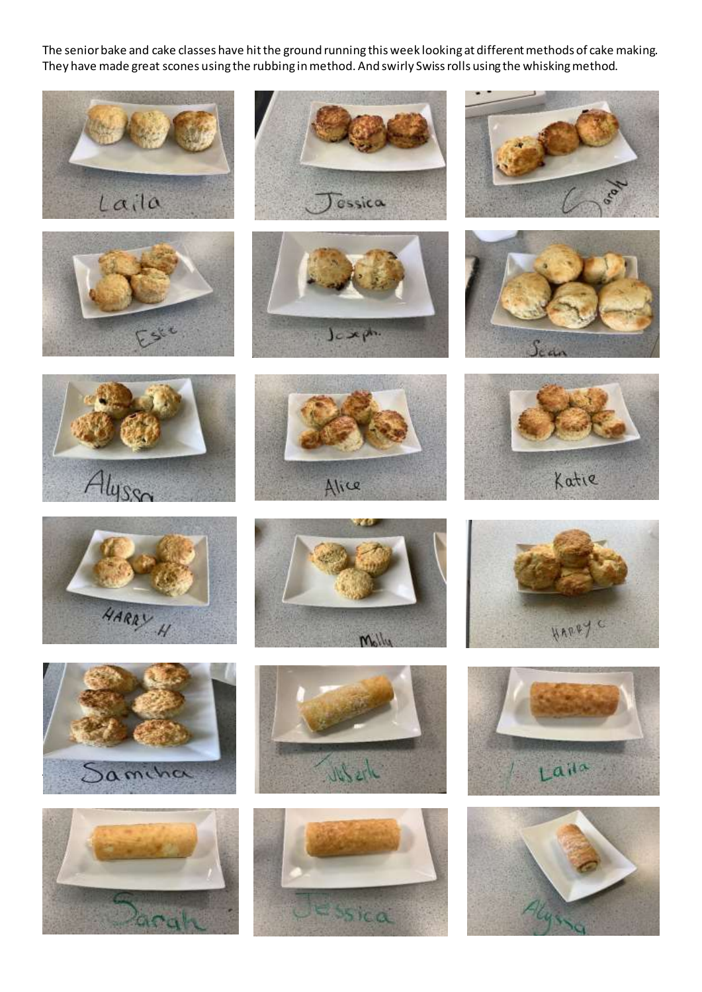The senior bake and cake classes have hit the ground running this week looking at different methods of cake making. They have made great scones using the rubbing in method. And swirly Swiss rolls using the whisking method.





Alys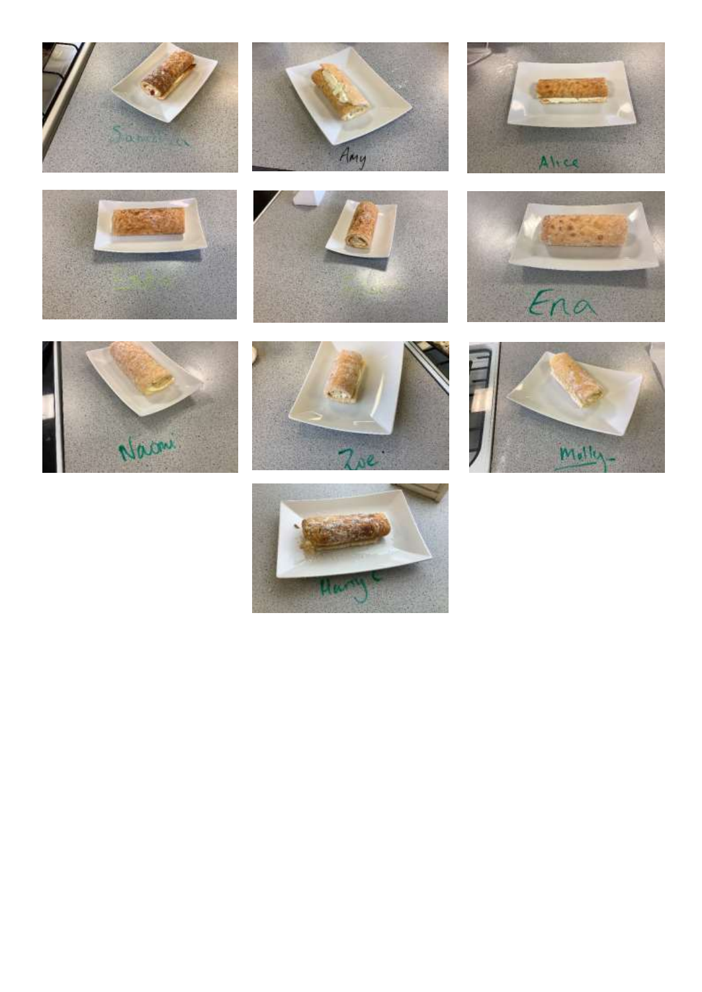

















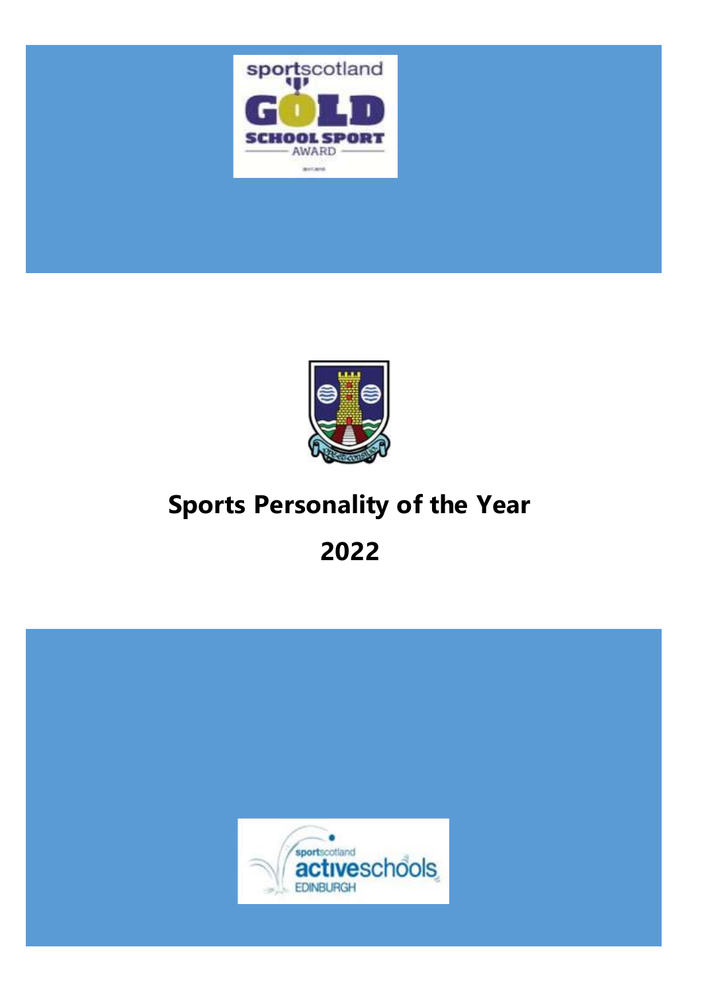



# **Sports Personality of the Year**

**2022**

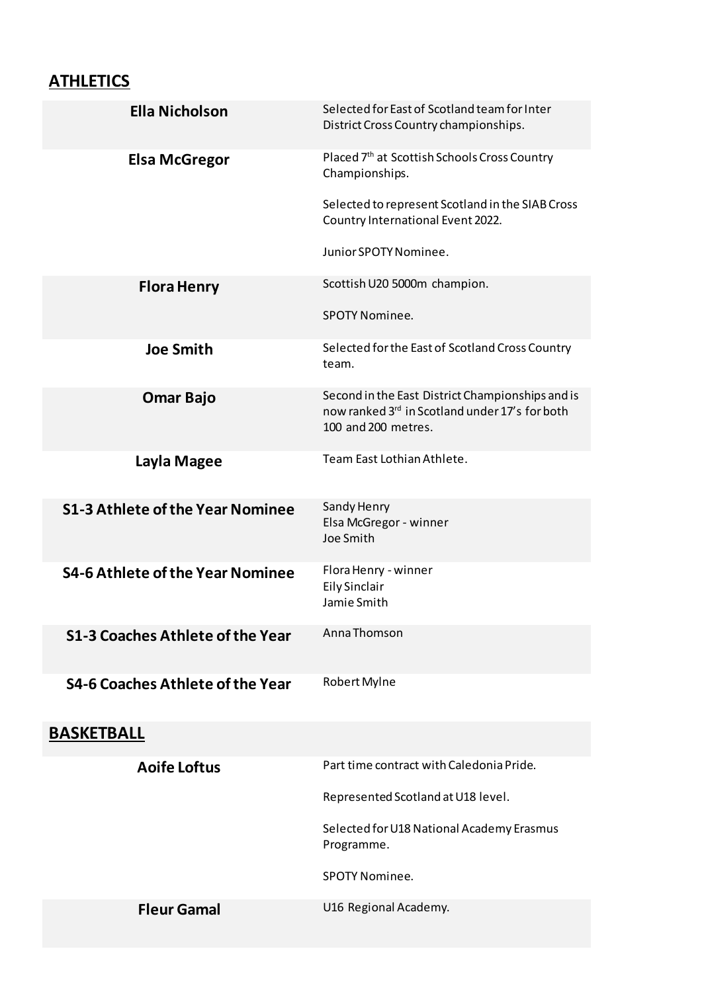# **ATHLETICS**

| <b>Ella Nicholson</b>                   | Selected for East of Scotland team for Inter<br>District Cross Country championships.                                     |
|-----------------------------------------|---------------------------------------------------------------------------------------------------------------------------|
| <b>Elsa McGregor</b>                    | Placed 7 <sup>th</sup> at Scottish Schools Cross Country<br>Championships.                                                |
|                                         | Selected to represent Scotland in the SIAB Cross<br>Country International Event 2022.                                     |
|                                         | Junior SPOTY Nominee.                                                                                                     |
| <b>Flora Henry</b>                      | Scottish U20 5000m champion.                                                                                              |
|                                         | <b>SPOTY Nominee.</b>                                                                                                     |
| <b>Joe Smith</b>                        | Selected for the East of Scotland Cross Country<br>team.                                                                  |
| <b>Omar Bajo</b>                        | Second in the East District Championships and is<br>now ranked 3rd in Scotland under 17's for both<br>100 and 200 metres. |
| Layla Magee                             | Team East Lothian Athlete.                                                                                                |
| S1-3 Athlete of the Year Nominee        | Sandy Henry<br>Elsa McGregor - winner<br>Joe Smith                                                                        |
| <b>S4-6 Athlete of the Year Nominee</b> | Flora Henry - winner<br>Eily Sinclair<br>Jamie Smith                                                                      |
| S1-3 Coaches Athlete of the Year        | Anna Thomson                                                                                                              |
| S4-6 Coaches Athlete of the Year        | <b>Robert MyIne</b>                                                                                                       |
| <b>BASKETBALL</b>                       |                                                                                                                           |
| <b>Aoife Loftus</b>                     | Part time contract with Caledonia Pride.                                                                                  |
|                                         | Represented Scotland at U18 level.                                                                                        |
|                                         | Selected for U18 National Academy Erasmus<br>Programme.                                                                   |
|                                         | <b>SPOTY Nominee.</b>                                                                                                     |
| <b>Fleur Gamal</b>                      | U16 Regional Academy.                                                                                                     |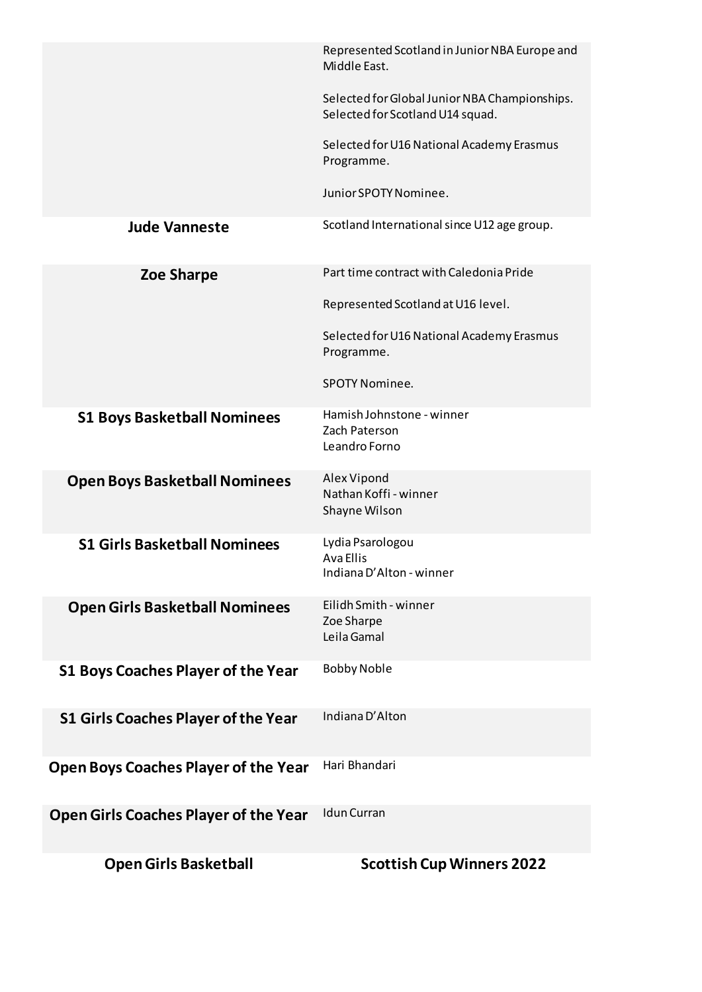|                                              | Represented Scotland in Junior NBA Europe and<br>Middle East.                     |
|----------------------------------------------|-----------------------------------------------------------------------------------|
|                                              | Selected for Global Junior NBA Championships.<br>Selected for Scotland U14 squad. |
|                                              | Selected for U16 National Academy Erasmus<br>Programme.                           |
|                                              | Junior SPOTY Nominee.                                                             |
| <b>Jude Vanneste</b>                         | Scotland International since U12 age group.                                       |
| <b>Zoe Sharpe</b>                            | Part time contract with Caledonia Pride                                           |
|                                              | Represented Scotland at U16 level.                                                |
|                                              | Selected for U16 National Academy Erasmus<br>Programme.                           |
|                                              | <b>SPOTY Nominee.</b>                                                             |
| <b>S1 Boys Basketball Nominees</b>           | Hamish Johnstone - winner<br>Zach Paterson<br>Leandro Forno                       |
| <b>Open Boys Basketball Nominees</b>         | Alex Vipond<br>Nathan Koffi - winner<br>Shayne Wilson                             |
| <b>S1 Girls Basketball Nominees</b>          | Lydia Psarologou<br>Ava Ellis<br>Indiana D'Alton - winner                         |
| <b>Open Girls Basketball Nominees</b>        | Eilidh Smith - winner<br>Zoe Sharpe<br>Leila Gamal                                |
| S1 Boys Coaches Player of the Year           | <b>Bobby Noble</b>                                                                |
| <b>S1 Girls Coaches Player of the Year</b>   | Indiana D'Alton                                                                   |
| Open Boys Coaches Player of the Year         | Hari Bhandari                                                                     |
| <b>Open Girls Coaches Player of the Year</b> | <b>Idun Curran</b>                                                                |
| <b>Open Girls Basketball</b>                 | <b>Scottish Cup Winners 2022</b>                                                  |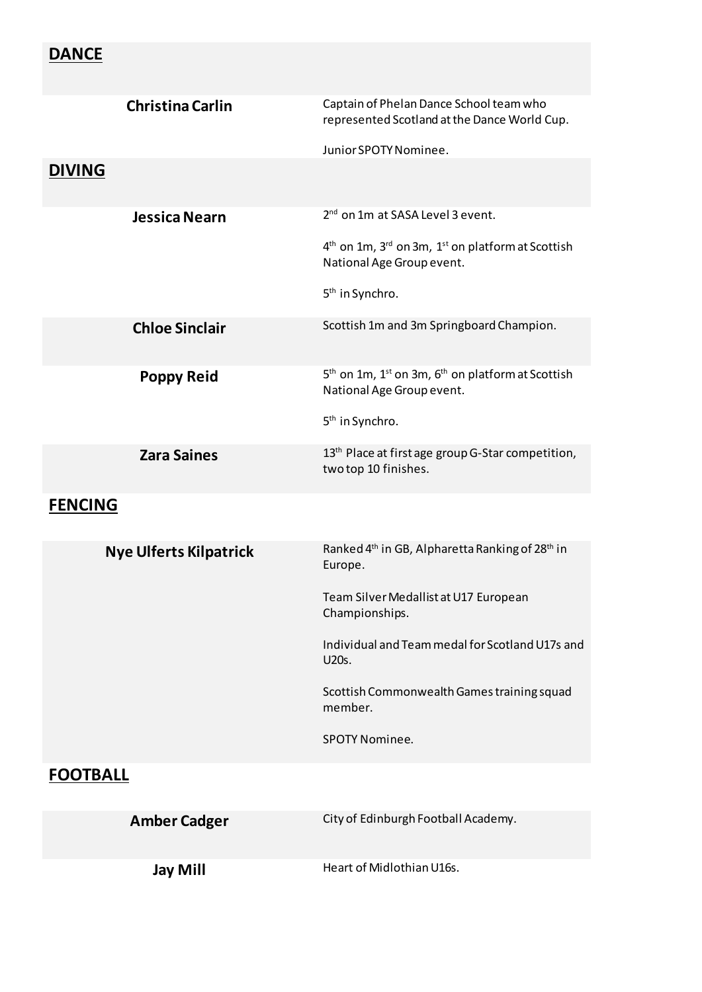# **DANCE**

| <b>Christina Carlin</b> | Captain of Phelan Dance School team who<br>represented Scotland at the Dance World Cup.                            |
|-------------------------|--------------------------------------------------------------------------------------------------------------------|
|                         | Junior SPOTY Nominee.                                                                                              |
| <b>DIVING</b>           |                                                                                                                    |
| Jessica Nearn           | 2 <sup>nd</sup> on 1m at SASA Level 3 event.                                                                       |
|                         | $4th$ on 1m, 3 <sup>rd</sup> on 3m, 1 <sup>st</sup> on platform at Scottish<br>National Age Group event.           |
|                         | 5 <sup>th</sup> in Synchro.                                                                                        |
| <b>Chloe Sinclair</b>   | Scottish 1m and 3m Springboard Champion.                                                                           |
| <b>Poppy Reid</b>       | 5 <sup>th</sup> on 1m, 1 <sup>st</sup> on 3m, 6 <sup>th</sup> on platform at Scottish<br>National Age Group event. |
|                         | 5 <sup>th</sup> in Synchro.                                                                                        |
| <b>Zara Saines</b>      | 13 <sup>th</sup> Place at first age group G-Star competition,<br>two top 10 finishes.                              |
| <b>FENCING</b>          |                                                                                                                    |

| <b>Nye Ulferts Kilpatrick</b> | Ranked 4 <sup>th</sup> in GB, Alpharetta Ranking of 28 <sup>th</sup> in<br>Europe. |
|-------------------------------|------------------------------------------------------------------------------------|
|                               | Team Silver Medallist at U17 European<br>Championships.                            |
|                               | Individual and Team medal for Scotland U17s and<br>U20s.                           |
|                               | Scottish Commonwealth Games training squad<br>member.                              |
|                               | <b>SPOTY Nominee.</b>                                                              |
| <b>FOOTBALL</b>               |                                                                                    |
| <b>Amber Cadger</b>           | City of Edinburgh Football Academy.                                                |
| Jay Mill                      | Heart of Midlothian U16s.                                                          |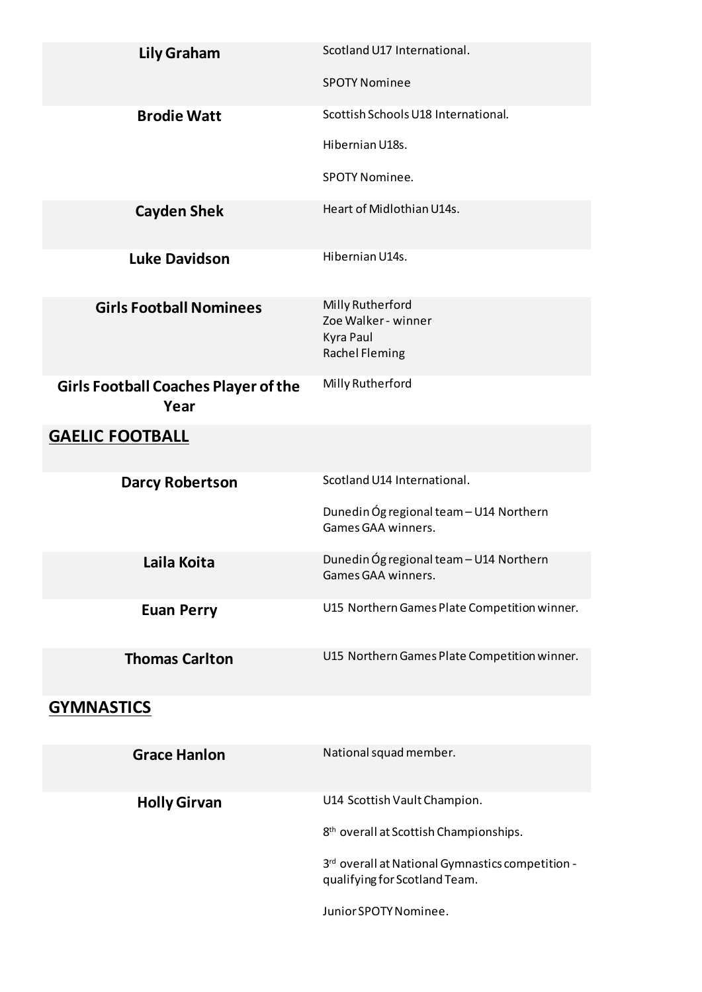| <b>Lily Graham</b>                                  | Scotland U17 International.                                                       |
|-----------------------------------------------------|-----------------------------------------------------------------------------------|
|                                                     | <b>SPOTY Nominee</b>                                                              |
| <b>Brodie Watt</b>                                  | Scottish Schools U18 International.                                               |
|                                                     | Hibernian U18s.                                                                   |
|                                                     | SPOTY Nominee.                                                                    |
| <b>Cayden Shek</b>                                  | Heart of Midlothian U14s.                                                         |
| <b>Luke Davidson</b>                                | Hibernian U14s.                                                                   |
| <b>Girls Football Nominees</b>                      | Milly Rutherford<br>Zoe Walker - winner<br>Kyra Paul<br><b>Rachel Fleming</b>     |
| <b>Girls Football Coaches Player of the</b><br>Year | Milly Rutherford                                                                  |
| <b>GAELIC FOOTBALL</b>                              |                                                                                   |
|                                                     | Scotland U14 International.                                                       |
| <b>Darcy Robertson</b>                              |                                                                                   |
|                                                     | Dunedin Óg regional team - U14 Northern<br>Games GAA winners.                     |
| Laila Koita                                         | Dunedin Óg regional team - U14 Northern<br>Games GAA winners.                     |
| <b>Euan Perry</b>                                   | U15 Northern Games Plate Competition winner.                                      |
| <b>Thomas Carlton</b>                               | U15 Northern Games Plate Competition winner.                                      |
| <b>GYMNASTICS</b>                                   |                                                                                   |
| <b>Grace Hanlon</b>                                 | National squad member.                                                            |
| <b>Holly Girvan</b>                                 | U14 Scottish Vault Champion.                                                      |
|                                                     | 8 <sup>th</sup> overall at Scottish Championships.                                |
|                                                     | 3rd overall at National Gymnastics competition -<br>qualifying for Scotland Team. |
|                                                     | Junior SPOTY Nominee.                                                             |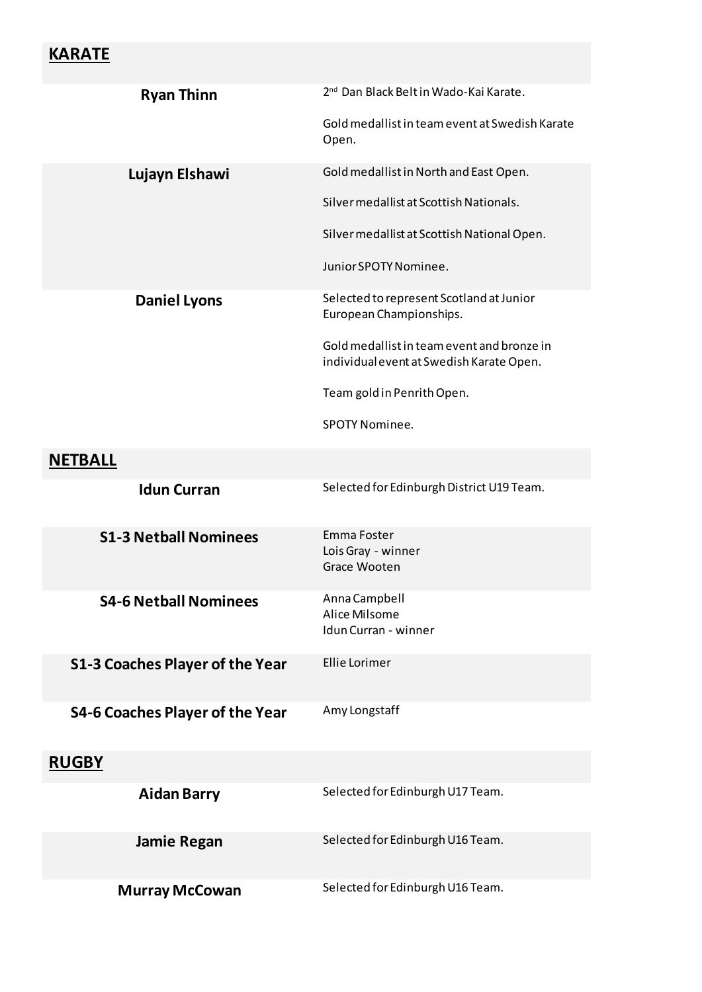# **KARATE**

| <b>Ryan Thinn</b>                      | 2 <sup>nd</sup> Dan Black Belt in Wado-Kai Karate.                                     |
|----------------------------------------|----------------------------------------------------------------------------------------|
|                                        | Gold medallist in team event at Swedish Karate<br>Open.                                |
| Lujayn Elshawi                         | Gold medallist in North and East Open.                                                 |
|                                        | Silver medallist at Scottish Nationals.                                                |
|                                        | Silver medallist at Scottish National Open.                                            |
|                                        | Junior SPOTY Nominee.                                                                  |
| <b>Daniel Lyons</b>                    | Selected to represent Scotland at Junior<br>European Championships.                    |
|                                        | Gold medallist in team event and bronze in<br>individual event at Swedish Karate Open. |
|                                        | Team gold in Penrith Open.                                                             |
|                                        | <b>SPOTY Nominee.</b>                                                                  |
| <b>NETBALL</b>                         |                                                                                        |
| <b>Idun Curran</b>                     | Selected for Edinburgh District U19 Team.                                              |
| <b>S1-3 Netball Nominees</b>           | Emma Foster<br>Lois Gray - winner<br>Grace Wooten                                      |
| <b>S4-6 Netball Nominees</b>           | Anna Campbell<br>Alice Milsome<br>Idun Curran - winner                                 |
| <b>S1-3 Coaches Player of the Year</b> | <b>Ellie Lorimer</b>                                                                   |
| <b>S4-6 Coaches Player of the Year</b> | Amy Longstaff                                                                          |
| <b>RUGBY</b>                           |                                                                                        |
| <b>Aidan Barry</b>                     | Selected for Edinburgh U17 Team.                                                       |
| <b>Jamie Regan</b>                     | Selected for Edinburgh U16 Team.                                                       |
| <b>Murray McCowan</b>                  | Selected for Edinburgh U16 Team.                                                       |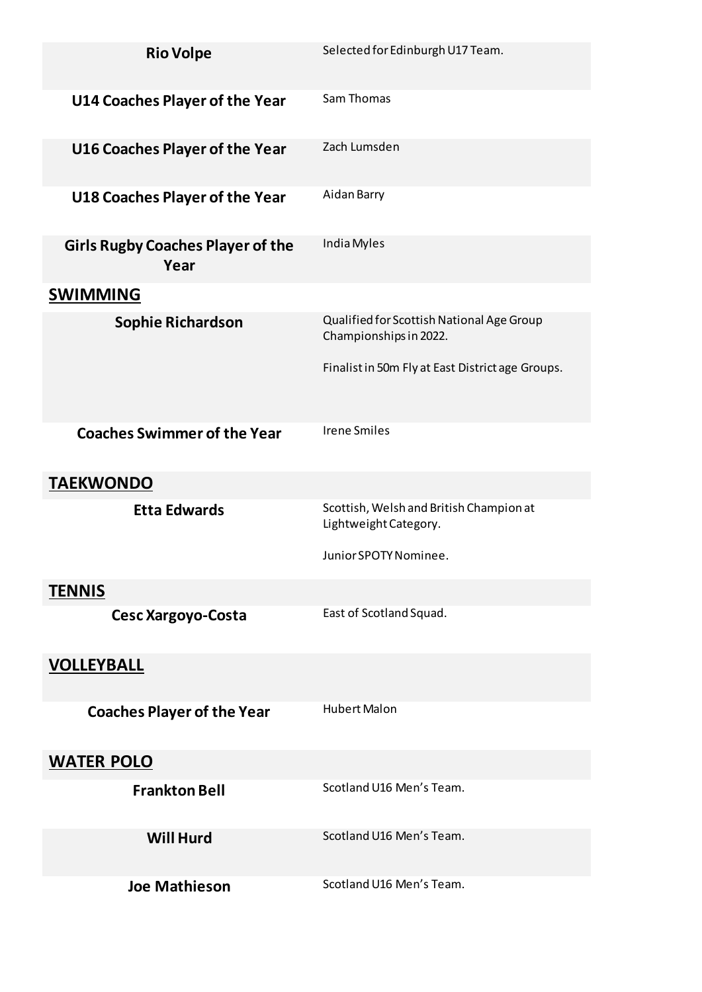| <b>Rio Volpe</b>                                 | Selected for Edinburgh U17 Team.                                    |
|--------------------------------------------------|---------------------------------------------------------------------|
| U14 Coaches Player of the Year                   | Sam Thomas                                                          |
| U16 Coaches Player of the Year                   | Zach Lumsden                                                        |
| U18 Coaches Player of the Year                   | Aidan Barry                                                         |
| <b>Girls Rugby Coaches Player of the</b><br>Year | India Myles                                                         |
| <b>SWIMMING</b>                                  |                                                                     |
| <b>Sophie Richardson</b>                         | Qualified for Scottish National Age Group<br>Championships in 2022. |
|                                                  | Finalist in 50m Fly at East District age Groups.                    |
| <b>Coaches Swimmer of the Year</b>               | <b>Irene Smiles</b>                                                 |
| <b>TAEKWONDO</b>                                 |                                                                     |
| <b>Etta Edwards</b>                              | Scottish, Welsh and British Champion at<br>Lightweight Category.    |
|                                                  | Junior SPOTY Nominee.                                               |
| <b>TENNIS</b>                                    |                                                                     |
| Cesc Xargoyo-Costa                               | East of Scotland Squad.                                             |
| <b>VOLLEYBALL</b>                                |                                                                     |
| <b>Coaches Player of the Year</b>                | <b>Hubert Malon</b>                                                 |
| <b>WATER POLO</b>                                |                                                                     |
| <b>Frankton Bell</b>                             | Scotland U16 Men's Team.                                            |
| <b>Will Hurd</b>                                 | Scotland U16 Men's Team.                                            |
| <b>Joe Mathieson</b>                             | Scotland U16 Men's Team.                                            |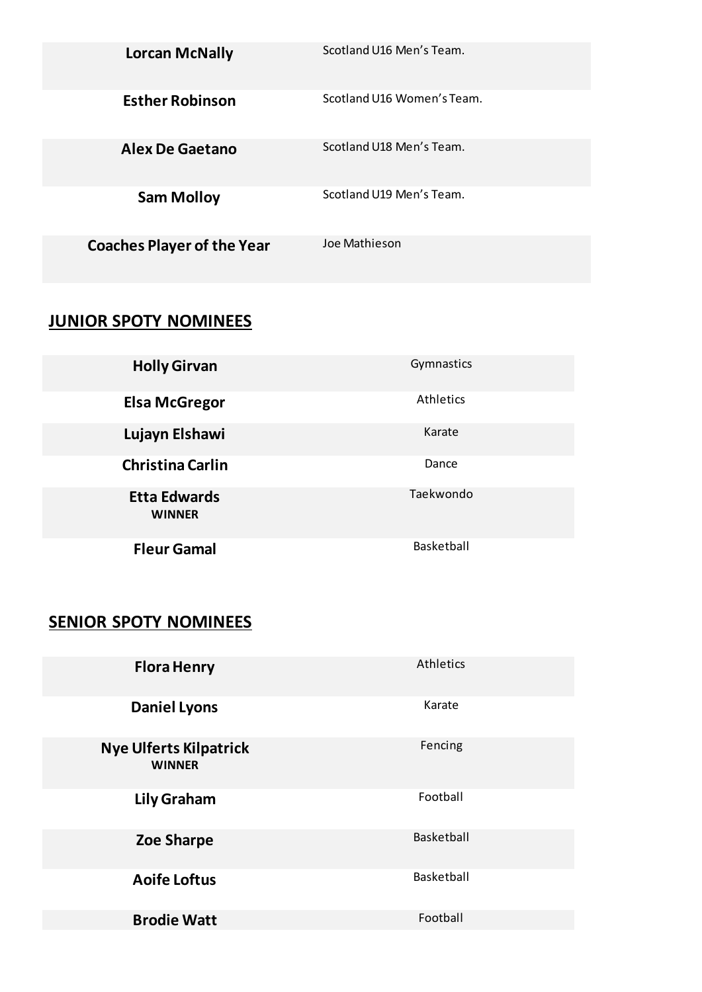| <b>Lorcan McNally</b>             | Scotland U16 Men's Team.   |
|-----------------------------------|----------------------------|
| <b>Esther Robinson</b>            | Scotland U16 Women's Team. |
| <b>Alex De Gaetano</b>            | Scotland U18 Men's Team.   |
| <b>Sam Molloy</b>                 | Scotland U19 Men's Team.   |
| <b>Coaches Player of the Year</b> | Joe Mathieson              |

### **JUNIOR SPOTY NOMINEES**

**Holly Girvan** Gymnastics

**Elsa McGregor Athletics** 

**Lujayn Elshawi** Karate

**Christina Carlin** Dance

**Etta Edwards WINNER**

**Fleur Gamal** Basketball

### **SENIOR SPOTY NOMINEES**

**Flora Henry Athletics** 

**Daniel Lyons Constanting Constanting Constanting Constanting Constanting Constanting Constanting Constanting Constanting Constanting Constanting Constanting Constanting Constanting Constanting Constanting Constanting Co** 

**Nye Ulferts Kilpatrick WINNER**

**Lily Graham** Football

**Zoe Sharpe** Basketball

**Aoife Loftus Basketball** 

**Brodie Watt** Football

Taekwondo

Fencing